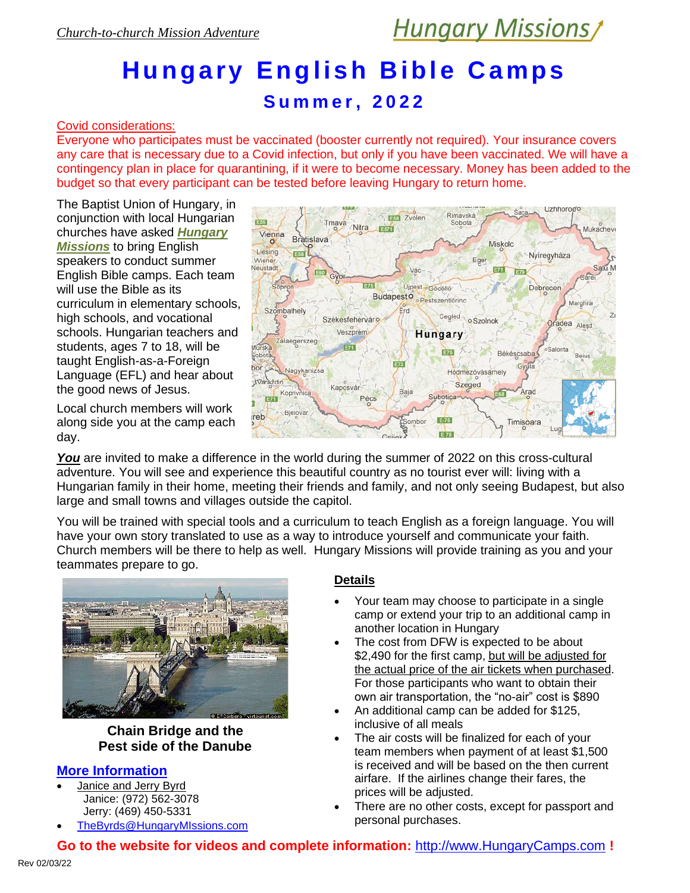Uzhhoroero

# **Hungary English Bible Ca mps**

### **S u m m e r , 20 2 2**

#### Covid considerations:

Everyone who participates must be vaccinated (booster currently not required). Your insurance covers any care that is necessary due to a Covid infection, but only if you have been vaccinated. We will have a contingency plan in place for quarantining, if it were to become necessary. Money has been added to the budget so that every participant can be tested before leaving Hungary to return home.

The Baptist Union of Hungary, in conjunction with local Hungarian churches have asked *Hungary Missions* to bring English speakers to conduct summer English Bible camps. Each team will use the Bible as its curriculum in elementary schools, high schools, and vocational schools. Hungarian teachers and students, ages 7 to 18, will be taught English-as-a-Foreign Language (EFL) and hear about the good news of Jesus.

Local church members will work along side you at the camp each day.

E<sub>58</sub> Zvolen **FESS** Tmaya Sobota **Nitra**  $F_{37}$ Mukacheve Vienna Bratislava Miskolc Liesing Nyíregyháza Eger Wiener Neustadt E71 E79 Sopro  $F75$ Újpest « Gödöllő Debrecen Budapesto · Pestszentlőring Marghita Szombathely Frd Cegled o Szolnok Székesfehérváro Oradea Aleşd Veszprém **Hungary** Zalaegerszeg **Aurska**  $F71$ किस Salonta Békéscsaba sobota Beius EXT bor Nagykanizsa Hódmezővásárhely varaždin Szeged Kaposvár Baja Arad Kop Pécs ubotica Bielovar reb Timisoara

Rimayská

**You** are invited to make a difference in the world during the summer of 2022 on this cross-cultural adventure. You will see and experience this beautiful country as no tourist ever will: living with a Hungarian family in their home, meeting their friends and family, and not only seeing Budapest, but also large and small towns and villages outside the capitol.

You will be trained with special tools and a curriculum to teach English as a foreign language. You will have your own story translated to use as a way to introduce yourself and communicate your faith. Church members will be there to help as well. Hungary Missions will provide training as you and your teammates prepare to go.



#### **Chain Bridge and the Pest side of the Danube**

#### **More Information**

- Janice and Jerry Byrd Janice: (972) 562-3078 Jerry: (469) 450-5331
- [TheByrds@HungaryMIssions.com](mailto:TheByrds@HungaryMIssions.com?subject=From%20the%20brochure)

#### **Details**

- Your team may choose to participate in a single camp or extend your trip to an additional camp in another location in Hungary
- The cost from DFW is expected to be about \$2,490 for the first camp, but will be adjusted for the actual price of the air tickets when purchased. For those participants who want to obtain their own air transportation, the "no-air" cost is \$890
- An additional camp can be added for \$125, inclusive of all meals
- The air costs will be finalized for each of your team members when payment of at least \$1,500 is received and will be based on the then current airfare. If the airlines change their fares, the prices will be adjusted.
- There are no other costs, except for passport and personal purchases.

**Go to the website for videos and complete information:** [http://www.HungaryCamps.com](http://www.hungarycamps.com/) **!**